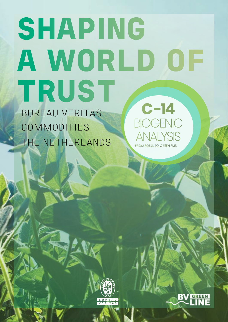### SHAPING A WORLD OF TRUST BUREAU VERITAS **COMMODITIES** THE NETHERLANDS **C -14** BIOGENIC ANALYSIS

FROM FOSSIL TO GREEN FUEL



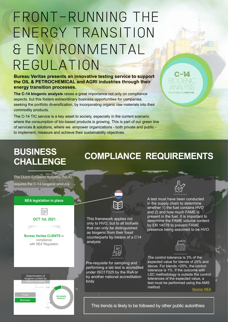## FRONT-RUNNING THE ENERGY TRANSITION & ENVIRONMENTAL REGULATION

**Bureau Veritas presents an innovative testing service to support the OIL & PETROCHEMICAL and AGRI industries through their energy transition processes.**

**The C-14 biogenic analysis** raises a great importance not only on compliance aspects, but this fosters extraordinary business opportunities for companies seeking the portfolio diversification, by incorporating organic raw materials into their commodity products.

The C-14 TIC service is a key asset to society, especially in the current scenario where the consumption of bio-based products is growing. This is part of our green line of services & solutions, where we empower organizations - both private and public to implement, measure and achieve their sustainability objectives.



### **COMPLIANCE REQUIREMENTS**

The Dutch Emission Autorithy (NEA) requires the C-14 biogenic analysis

**BUSINESS** 

**CHALLENGE**

#### **NEA legislation in place**



Biomass

Determination of biogenic content by

C14

C12

**BIO-BASED PRODUCT**

This framework applies not only to HVO, but to all biofuels that can only be distinguished as biogenic from their fossil counterparts by means of a C14 analysis

RE



Pre-requisite for sampling and performing a lab test is accredited under ISO17025 by the RvA or by another national accreditation body

A test must have been conducted in the supply chain to determine whether 1) the fuel contains HVO and 2) and how much FAME is present in the fuel. It is important to determine the FAME volume content by EN 14078 to prevent FAME presence being assumed to be HVO



The control tolerance is 3% of the expected value for blends of 25% and above. For blends <25%, the control tolerance is 1%. If the outcome with LSC methodology is outside the control tolerances of the expected value, a test must be performed using the AMS method.

[Source: NEA](https://www.emissionsauthority.nl/)

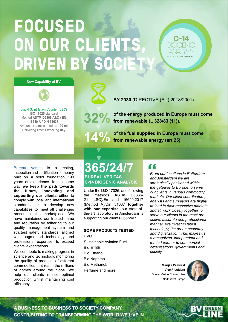# FOCUSED ON OUR CLIENTS DRIVEN BY SO

#### **New Capability at BV**



Liquid Scintillation Counter (**LSC**) **ISO 17025** standard Method **ASTM D6866 A&C / EN 16640 A / DIN 51637** Amount of sample needed: **100 ml**  Delivering time: **1 working day**



**BY 2030** (DIRECTIVE (EU) 2018/2001)

**32% of the energy produced in Europe must come from renewable (L 328/83 (11)).**

**C -14** BIOGENIC ANALYSIS FROM FOSSIL TO GREEN FUEL

14<sup>0</sup> of the fuel supplied in Europe in Europe 1 **of the fuel supplied in Europe must come** 

inspection and certification company built on a solid foundation 190 years of experience. In the same way **we keep the path towards the future, innovating and supporting our clients** either to comply with local and international standards, or to develop new capabilities to meet all challenges present in the marketplace. We have maintained our trusted name and reputation by adhering to our quality management system and strictest safety standards, aligned with augmented technology and professional expertise, to exceed clients' expectations.

We contribute to making progress in science and technology, monitoring the quality of products of different commodities that reach the millions of homes around the globe. We help our clients realise optimal production whilst maintaining cost efficiency.

### **Eureau Veritas is a testing, 365/24/7**<br>
Inspection and certification company<br>
built on a solid foundation 190 BUREAU VERITAS **C-14 BIOGENIC ANALYSIS BUREAU VERITAS**

Under the **ISO** 17025, and following the methods **ASTM** D6866- 21 (LSC)/En and 16640:2017 (Method A)/Din 51637 **together with our expertise,** our state-ofthe-art laboratory in Amsterdam is supporting our clients 365/24/7.

#### **SOME PRODUCTS TESTED**

**HVO** Sustainable Aviation Fuel Bio ETBE Bio Ethanol Bio Naphtha Bio Methanol, Perfume and more

*From our locations in Rotterdam and Amsterdam we are strategically positioned within the gateway to Europe to serve our clients in various commodity markets. Our client coordinators, analysts and surveyors are highly trained in their respective markets and all work closely together to serve our clients in the most proactive, accurate and professional manner. We invest in latest technology, the green economy and digitalization. This makes us a recognized, independent and trusted partner to commercial organisations, governments and society.*

**Marijke Paalvast Vice President**  Bureau Veritas Commodities North West Europe



**A BUSINESS TO BUSINESS TO SOCIETY COMPANY, CONTRIBUTING TO TRANSFORMING THE WORLD WE LIVE IN**